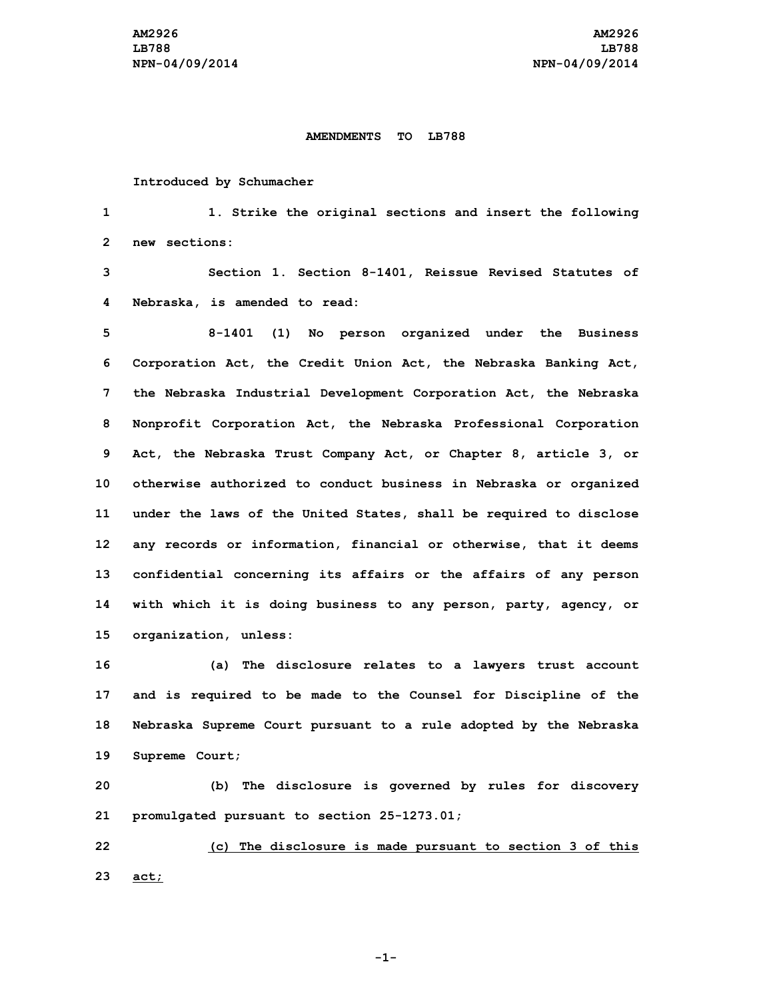## **AMENDMENTS TO LB788**

## **Introduced by Schumacher**

**1 1. Strike the original sections and insert the following 2 new sections:**

**3 Section 1. Section 8-1401, Reissue Revised Statutes of 4 Nebraska, is amended to read:**

 **8-1401 (1) No person organized under the Business Corporation Act, the Credit Union Act, the Nebraska Banking Act, the Nebraska Industrial Development Corporation Act, the Nebraska Nonprofit Corporation Act, the Nebraska Professional Corporation Act, the Nebraska Trust Company Act, or Chapter 8, article 3, or otherwise authorized to conduct business in Nebraska or organized under the laws of the United States, shall be required to disclose any records or information, financial or otherwise, that it deems confidential concerning its affairs or the affairs of any person with which it is doing business to any person, party, agency, or organization, unless:**

 **(a) The disclosure relates to <sup>a</sup> lawyers trust account and is required to be made to the Counsel for Discipline of the Nebraska Supreme Court pursuant to <sup>a</sup> rule adopted by the Nebraska Supreme Court;**

**20 (b) The disclosure is governed by rules for discovery 21 promulgated pursuant to section 25-1273.01;**

**22 (c) The disclosure is made pursuant to section 3 of this 23 act;**

**-1-**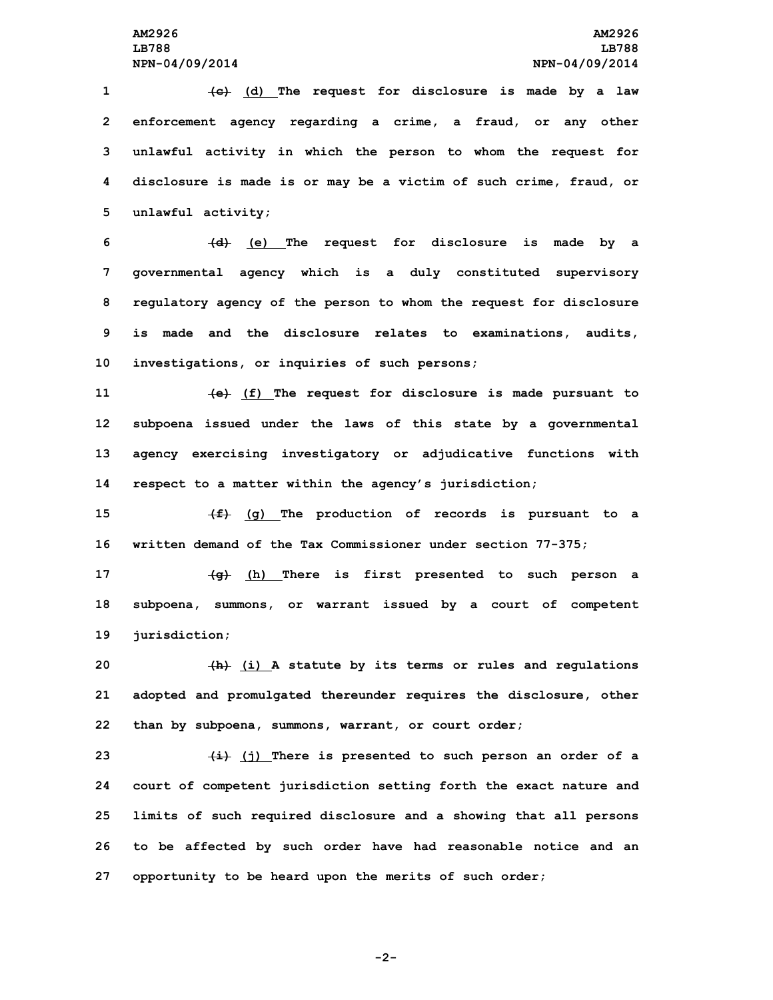**(c) (d) The request for disclosure is made by <sup>a</sup> law enforcement agency regarding <sup>a</sup> crime, <sup>a</sup> fraud, or any other unlawful activity in which the person to whom the request for disclosure is made is or may be <sup>a</sup> victim of such crime, fraud, or unlawful activity;**

 **(d) (e) The request for disclosure is made by <sup>a</sup> governmental agency which is <sup>a</sup> duly constituted supervisory regulatory agency of the person to whom the request for disclosure is made and the disclosure relates to examinations, audits, investigations, or inquiries of such persons;**

 **(e) (f) The request for disclosure is made pursuant to subpoena issued under the laws of this state by <sup>a</sup> governmental agency exercising investigatory or adjudicative functions with respect to <sup>a</sup> matter within the agency's jurisdiction;**

**15 (f) (g) The production of records is pursuant to <sup>a</sup> 16 written demand of the Tax Commissioner under section 77-375;**

**17 (g) (h) There is first presented to such person <sup>a</sup> 18 subpoena, summons, or warrant issued by <sup>a</sup> court of competent 19 jurisdiction;**

**20 (h) (i) <sup>A</sup> statute by its terms or rules and regulations 21 adopted and promulgated thereunder requires the disclosure, other 22 than by subpoena, summons, warrant, or court order;**

 **(i) (j) There is presented to such person an order of <sup>a</sup> court of competent jurisdiction setting forth the exact nature and limits of such required disclosure and <sup>a</sup> showing that all persons to be affected by such order have had reasonable notice and an opportunity to be heard upon the merits of such order;**

**-2-**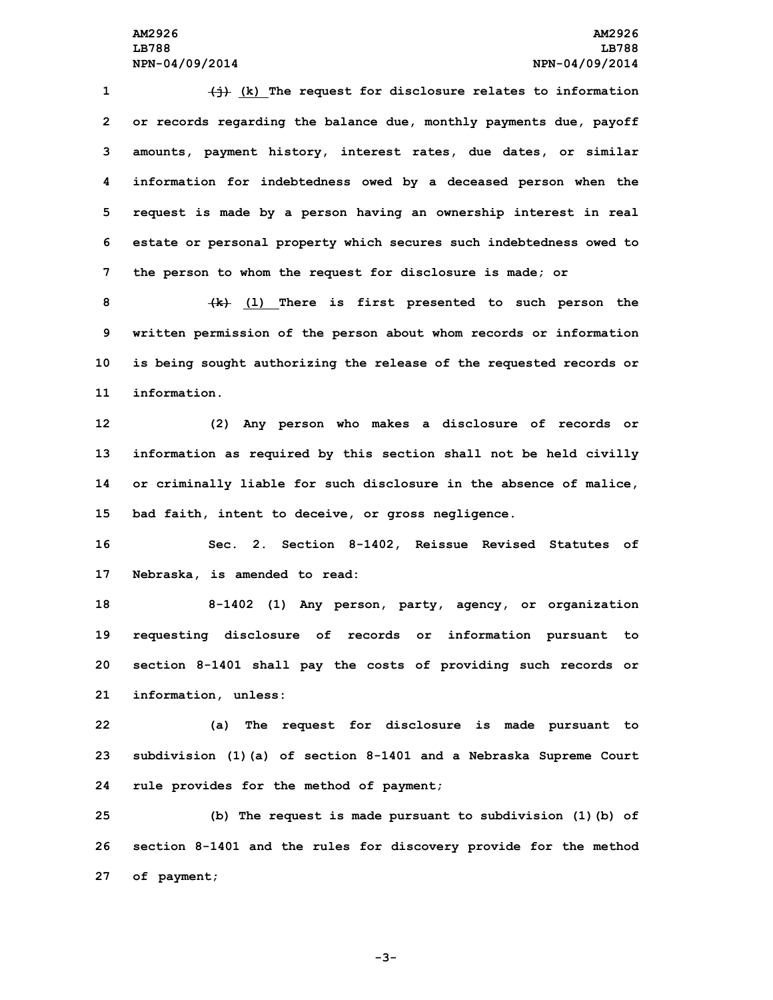**(j) (k) The request for disclosure relates to information or records regarding the balance due, monthly payments due, payoff amounts, payment history, interest rates, due dates, or similar information for indebtedness owed by <sup>a</sup> deceased person when the request is made by <sup>a</sup> person having an ownership interest in real estate or personal property which secures such indebtedness owed to the person to whom the request for disclosure is made; or**

 **(k) (l) There is first presented to such person the written permission of the person about whom records or information is being sought authorizing the release of the requested records or information.**

 **(2) Any person who makes <sup>a</sup> disclosure of records or information as required by this section shall not be held civilly or criminally liable for such disclosure in the absence of malice, bad faith, intent to deceive, or gross negligence.**

**16 Sec. 2. Section 8-1402, Reissue Revised Statutes of 17 Nebraska, is amended to read:**

 **8-1402 (1) Any person, party, agency, or organization requesting disclosure of records or information pursuant to section 8-1401 shall pay the costs of providing such records or information, unless:**

**22 (a) The request for disclosure is made pursuant to 23 subdivision (1)(a) of section 8-1401 and <sup>a</sup> Nebraska Supreme Court 24 rule provides for the method of payment;**

**25 (b) The request is made pursuant to subdivision (1)(b) of 26 section 8-1401 and the rules for discovery provide for the method 27 of payment;**

**-3-**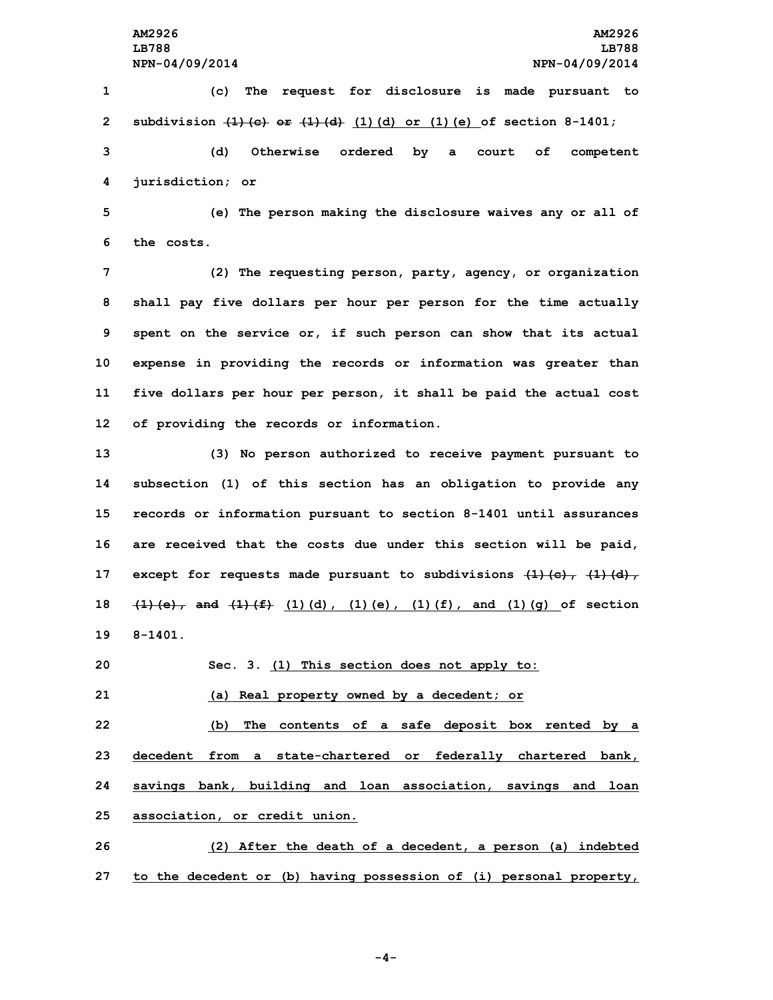**(c) The request for disclosure is made pursuant to subdivision (1)(c) or (1)(d) (1)(d) or (1)(e) of section 8-1401; (d) Otherwise ordered by <sup>a</sup> court of competent jurisdiction; or**

**5 (e) The person making the disclosure waives any or all of 6 the costs.**

 **(2) The requesting person, party, agency, or organization shall pay five dollars per hour per person for the time actually spent on the service or, if such person can show that its actual expense in providing the records or information was greater than five dollars per hour per person, it shall be paid the actual cost of providing the records or information.**

 **(3) No person authorized to receive payment pursuant to subsection (1) of this section has an obligation to provide any records or information pursuant to section 8-1401 until assurances are received that the costs due under this section will be paid, except for requests made pursuant to subdivisions (1)(c), (1)(d), (1)(e), and (1)(f) (1)(d), (1)(e), (1)(f), and (1)(g) of section 19 8-1401.**

**20 Sec. 3. (1) This section does not apply to:**

**21 (a) Real property owned by <sup>a</sup> decedent; or**

 **(b) The contents of <sup>a</sup> safe deposit box rented by <sup>a</sup> decedent from <sup>a</sup> state-chartered or federally chartered bank, savings bank, building and loan association, savings and loan association, or credit union.**

**26 (2) After the death of <sup>a</sup> decedent, <sup>a</sup> person (a) indebted 27 to the decedent or (b) having possession of (i) personal property,**

**-4-**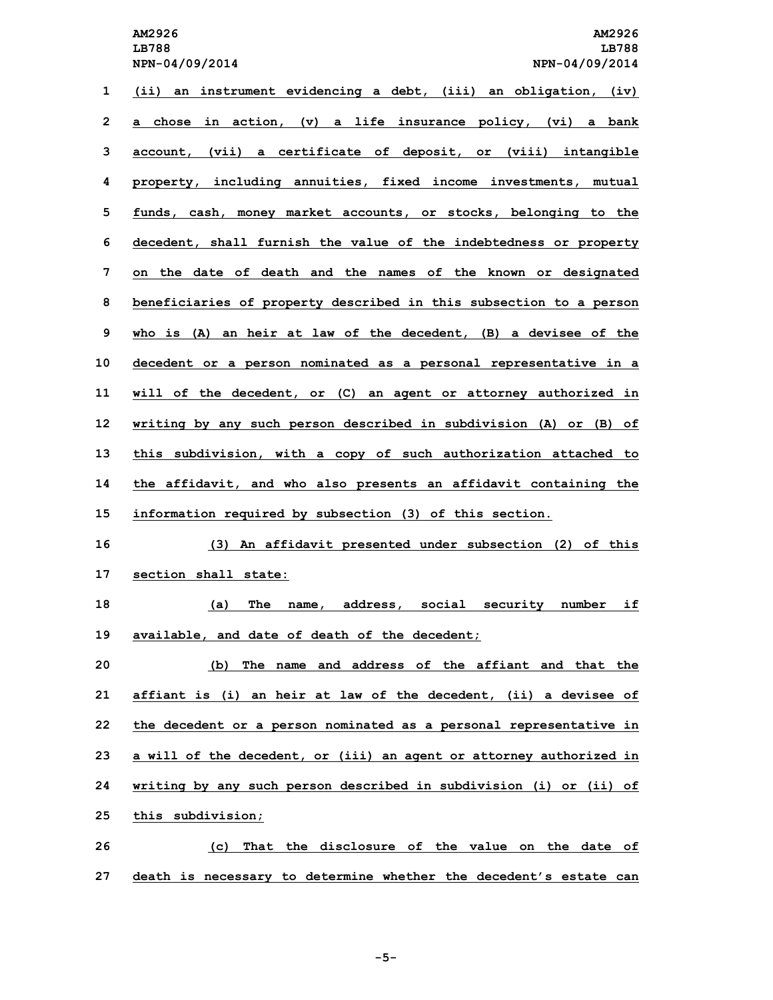**LB788 LB788 NPN-04/09/2014 NPN-04/09/2014**

 **(ii) an instrument evidencing <sup>a</sup> debt, (iii) an obligation, (iv) <sup>a</sup> chose in action, (v) <sup>a</sup> life insurance policy, (vi) <sup>a</sup> bank account, (vii) <sup>a</sup> certificate of deposit, or (viii) intangible property, including annuities, fixed income investments, mutual funds, cash, money market accounts, or stocks, belonging to the decedent, shall furnish the value of the indebtedness or property on the date of death and the names of the known or designated beneficiaries of property described in this subsection to <sup>a</sup> person who is (A) an heir at law of the decedent, (B) <sup>a</sup> devisee of the decedent or <sup>a</sup> person nominated as <sup>a</sup> personal representative in <sup>a</sup> will of the decedent, or (C) an agent or attorney authorized in writing by any such person described in subdivision (A) or (B) of this subdivision, with <sup>a</sup> copy of such authorization attached to the affidavit, and who also presents an affidavit containing the information required by subsection (3) of this section. (3) An affidavit presented under subsection (2) of this section shall state: (a) The name, address, social security number if available, and date of death of the decedent; (b) The name and address of the affiant and that the affiant is (i) an heir at law of the decedent, (ii) <sup>a</sup> devisee of the decedent or <sup>a</sup> person nominated as <sup>a</sup> personal representative in <sup>a</sup> will of the decedent, or (iii) an agent or attorney authorized in writing by any such person described in subdivision (i) or (ii) of**

**25 this subdivision;**

**26 (c) That the disclosure of the value on the date of 27 death is necessary to determine whether the decedent's estate can**

**-5-**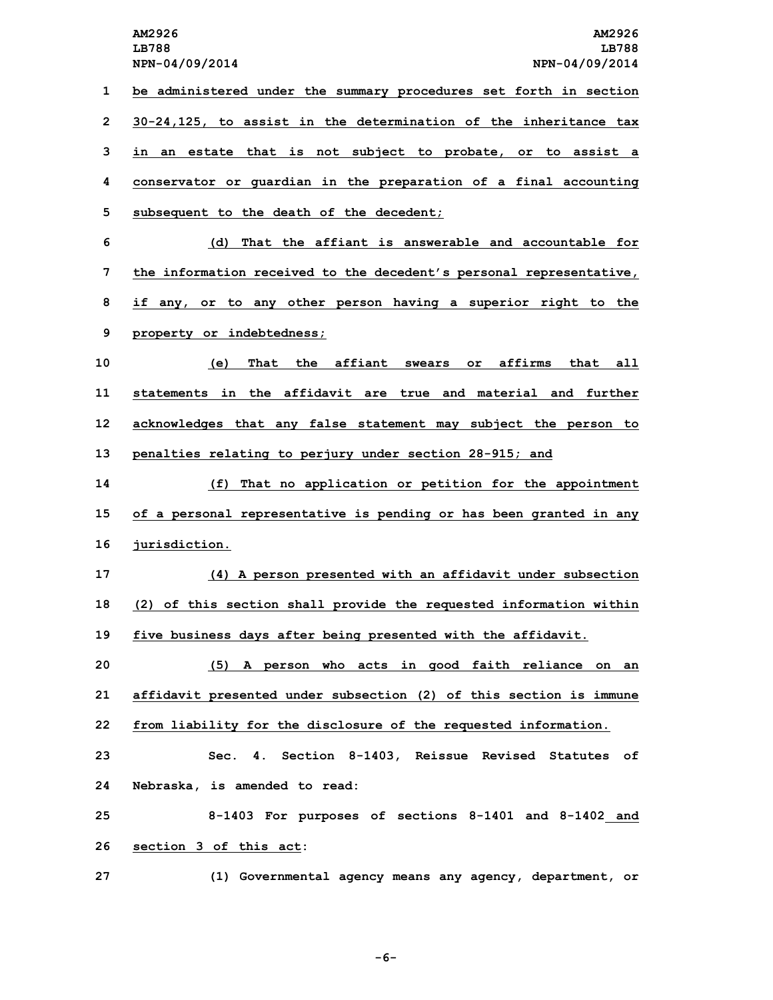**LB788 LB788**

**NPN-04/09/2014 NPN-04/09/2014 be administered under the summary procedures set forth in section 30-24,125, to assist in the determination of the inheritance tax in an estate that is not subject to probate, or to assist <sup>a</sup> conservator or guardian in the preparation of <sup>a</sup> final accounting subsequent to the death of the decedent; (d) That the affiant is answerable and accountable for the information received to the decedent's personal representative, if any, or to any other person having <sup>a</sup> superior right to the property or indebtedness; (e) That the affiant swears or affirms that all statements in the affidavit are true and material and further acknowledges that any false statement may subject the person to penalties relating to perjury under section 28-915; and (f) That no application or petition for the appointment of <sup>a</sup> personal representative is pending or has been granted in any jurisdiction. (4) <sup>A</sup> person presented with an affidavit under subsection (2) of this section shall provide the requested information within five business days after being presented with the affidavit. (5) <sup>A</sup> person who acts in good faith reliance on an affidavit presented under subsection (2) of this section is immune from liability for the disclosure of the requested information. Sec. 4. Section 8-1403, Reissue Revised Statutes of Nebraska, is amended to read: 8-1403 For purposes of sections 8-1401 and 8-1402 and section 3 of this act: (1) Governmental agency means any agency, department, or**

**-6-**